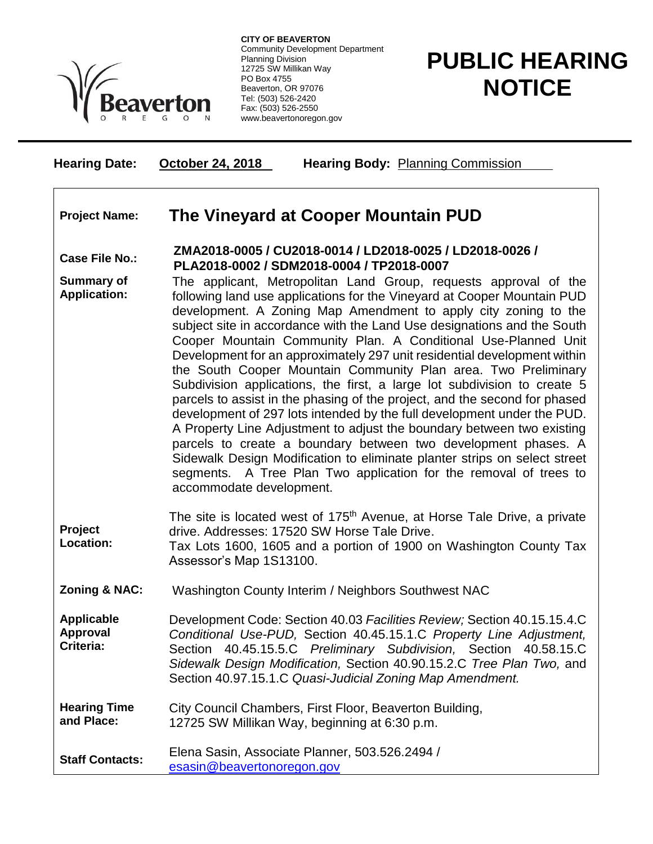

**CITY OF BEAVERTON** Community Development Department Planning Division 12725 SW Millikan Way PO Box 4755 Beaverton, OR 97076 Tel: (503) 526-2420 Fax: (503) 526-2550 www.beavertonoregon.gov

## **PUBLIC HEARING NOTICE**

| <b>Hearing Date:</b>                       | <b>October 24, 2018</b><br><b>Hearing Body: Planning Commission</b>                                                                                                                                                                                                                                                                                                                                                                                                                                                                                                                                                                                                                                                                                                                                                                                                                                                                                                                                                                                                      |
|--------------------------------------------|--------------------------------------------------------------------------------------------------------------------------------------------------------------------------------------------------------------------------------------------------------------------------------------------------------------------------------------------------------------------------------------------------------------------------------------------------------------------------------------------------------------------------------------------------------------------------------------------------------------------------------------------------------------------------------------------------------------------------------------------------------------------------------------------------------------------------------------------------------------------------------------------------------------------------------------------------------------------------------------------------------------------------------------------------------------------------|
| <b>Project Name:</b>                       | The Vineyard at Cooper Mountain PUD                                                                                                                                                                                                                                                                                                                                                                                                                                                                                                                                                                                                                                                                                                                                                                                                                                                                                                                                                                                                                                      |
| <b>Case File No.:</b>                      | ZMA2018-0005 / CU2018-0014 / LD2018-0025 / LD2018-0026 /<br>PLA2018-0002 / SDM2018-0004 / TP2018-0007                                                                                                                                                                                                                                                                                                                                                                                                                                                                                                                                                                                                                                                                                                                                                                                                                                                                                                                                                                    |
| <b>Summary of</b><br><b>Application:</b>   | The applicant, Metropolitan Land Group, requests approval of the<br>following land use applications for the Vineyard at Cooper Mountain PUD<br>development. A Zoning Map Amendment to apply city zoning to the<br>subject site in accordance with the Land Use designations and the South<br>Cooper Mountain Community Plan. A Conditional Use-Planned Unit<br>Development for an approximately 297 unit residential development within<br>the South Cooper Mountain Community Plan area. Two Preliminary<br>Subdivision applications, the first, a large lot subdivision to create 5<br>parcels to assist in the phasing of the project, and the second for phased<br>development of 297 lots intended by the full development under the PUD.<br>A Property Line Adjustment to adjust the boundary between two existing<br>parcels to create a boundary between two development phases. A<br>Sidewalk Design Modification to eliminate planter strips on select street<br>segments. A Tree Plan Two application for the removal of trees to<br>accommodate development. |
| Project<br>Location:                       | The site is located west of 175 <sup>th</sup> Avenue, at Horse Tale Drive, a private<br>drive. Addresses: 17520 SW Horse Tale Drive.<br>Tax Lots 1600, 1605 and a portion of 1900 on Washington County Tax<br>Assessor's Map 1S13100.                                                                                                                                                                                                                                                                                                                                                                                                                                                                                                                                                                                                                                                                                                                                                                                                                                    |
| <b>Zoning &amp; NAC:</b>                   | Washington County Interim / Neighbors Southwest NAC                                                                                                                                                                                                                                                                                                                                                                                                                                                                                                                                                                                                                                                                                                                                                                                                                                                                                                                                                                                                                      |
| <b>Applicable</b><br>Approval<br>Criteria: | Development Code: Section 40.03 Facilities Review; Section 40.15.15.4.C<br>Conditional Use-PUD, Section 40.45.15.1.C Property Line Adjustment,<br>Section 40.45.15.5.C Preliminary Subdivision, Section 40.58.15.C<br>Sidewalk Design Modification, Section 40.90.15.2.C Tree Plan Two, and<br>Section 40.97.15.1.C Quasi-Judicial Zoning Map Amendment.                                                                                                                                                                                                                                                                                                                                                                                                                                                                                                                                                                                                                                                                                                                 |
| <b>Hearing Time</b><br>and Place:          | City Council Chambers, First Floor, Beaverton Building,<br>12725 SW Millikan Way, beginning at 6:30 p.m.                                                                                                                                                                                                                                                                                                                                                                                                                                                                                                                                                                                                                                                                                                                                                                                                                                                                                                                                                                 |
| <b>Staff Contacts:</b>                     | Elena Sasin, Associate Planner, 503.526.2494 /<br>esasin@beavertonoregon.gov                                                                                                                                                                                                                                                                                                                                                                                                                                                                                                                                                                                                                                                                                                                                                                                                                                                                                                                                                                                             |